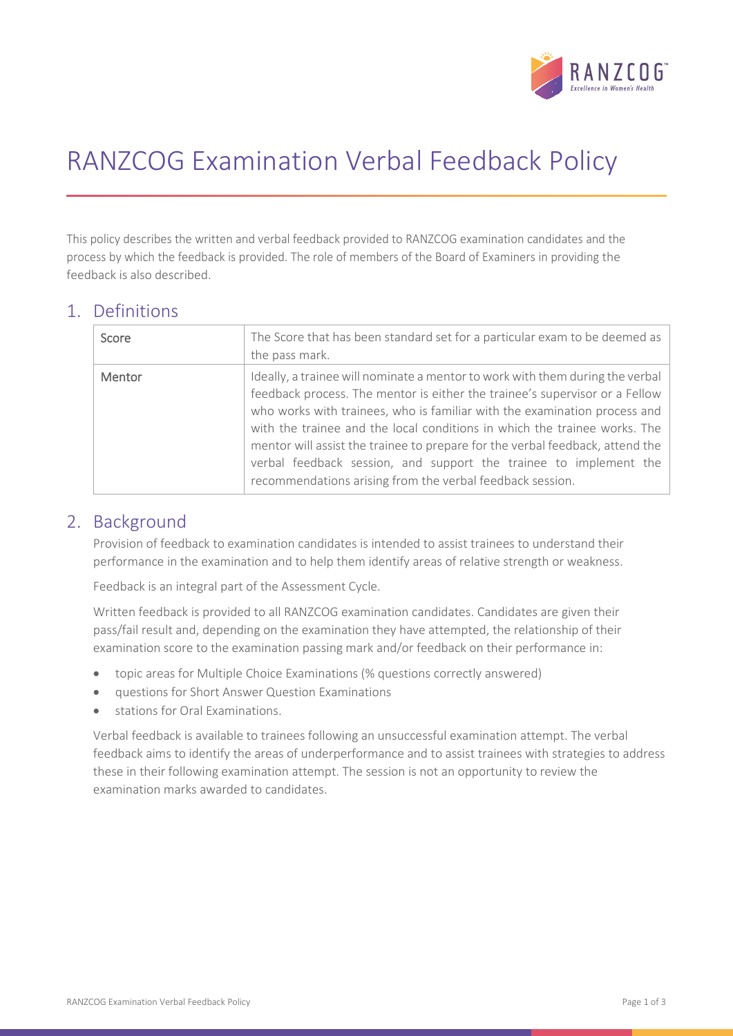

# RANZCOG Examination Verbal Feedback Policy

This policy describes the written and verbal feedback provided to RANZCOG examination candidates and the process by which the feedback is provided. The role of members of the Board of Examiners in providing the feedback is also described.

#### 1. Definitions

| Score  | The Score that has been standard set for a particular exam to be deemed as<br>the pass mark.                                                                                                                                                                                                                                                                                                                                                                                                                                              |
|--------|-------------------------------------------------------------------------------------------------------------------------------------------------------------------------------------------------------------------------------------------------------------------------------------------------------------------------------------------------------------------------------------------------------------------------------------------------------------------------------------------------------------------------------------------|
| Mentor | Ideally, a trainee will nominate a mentor to work with them during the verbal<br>feedback process. The mentor is either the trainee's supervisor or a Fellow<br>who works with trainees, who is familiar with the examination process and<br>with the trainee and the local conditions in which the trainee works. The<br>mentor will assist the trainee to prepare for the verbal feedback, attend the<br>verbal feedback session, and support the trainee to implement the<br>recommendations arising from the verbal feedback session. |

#### 2. Background

Provision of feedback to examination candidates is intended to assist trainees to understand their performance in the examination and to help them identify areas of relative strength or weakness.

Feedback is an integral part of the Assessment Cycle.

Written feedback is provided to all RANZCOG examination candidates. Candidates are given their pass/fail result and, depending on the examination they have attempted, the relationship of their examination score to the examination passing mark and/or feedback on their performance in:

- topic areas for Multiple Choice Examinations (% questions correctly answered)
- questions for Short Answer Question Examinations
- stations for Oral Examinations.

Verbal feedback is available to trainees following an unsuccessful examination attempt. The verbal feedback aims to identify the areas of underperformance and to assist trainees with strategies to address these in their following examination attempt. The session is not an opportunity to review the examination marks awarded to candidates.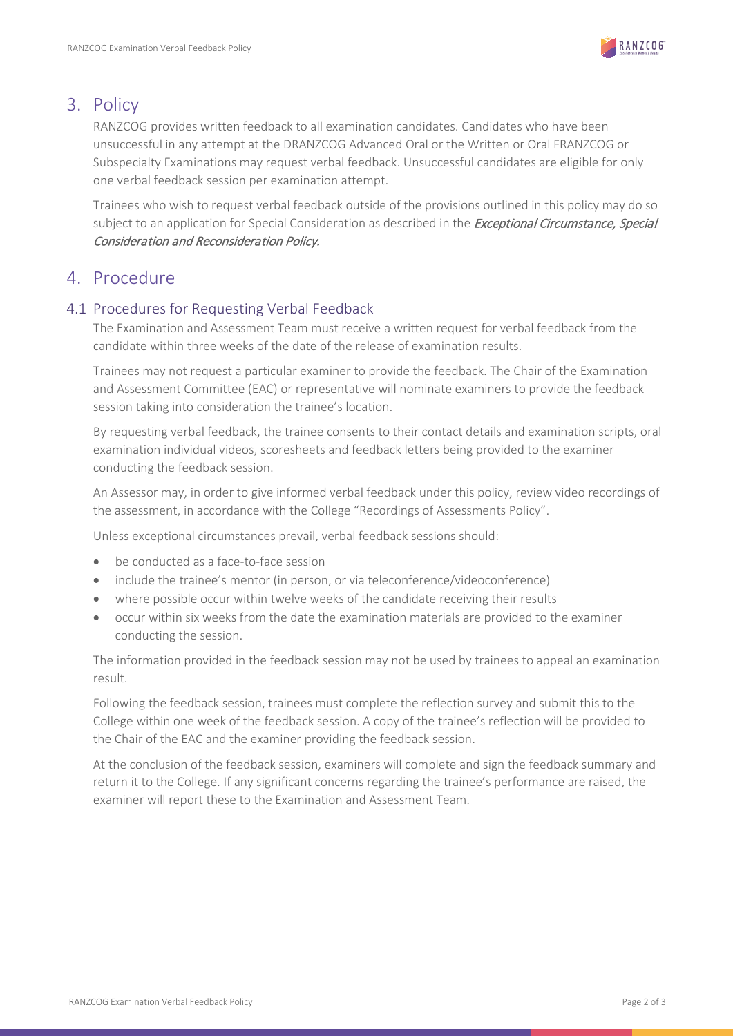

#### 3. Policy

RANZCOG provides written feedback to all examination candidates. Candidates who have been unsuccessful in any attempt at the DRANZCOG Advanced Oral or the Written or Oral FRANZCOG or Subspecialty Examinations may request verbal feedback. Unsuccessful candidates are eligible for only one verbal feedback session per examination attempt.

Trainees who wish to request verbal feedback outside of the provisions outlined in this policy may do so subject to an application for Special Consideration as described in the *Exceptional Circumstance, Special* Consideration and Reconsideration Policy.

### 4. Procedure

#### 4.1 Procedures for Requesting Verbal Feedback

The Examination and Assessment Team must receive a written request for verbal feedback from the candidate within three weeks of the date of the release of examination results.

Trainees may not request a particular examiner to provide the feedback. The Chair of the Examination and Assessment Committee (EAC) or representative will nominate examiners to provide the feedback session taking into consideration the trainee's location.

By requesting verbal feedback, the trainee consents to their contact details and examination scripts, oral examination individual videos, scoresheets and feedback letters being provided to the examiner conducting the feedback session.

An Assessor may, in order to give informed verbal feedback under this policy, review video recordings of the assessment, in accordance with the College "Recordings of Assessments Policy".

Unless exceptional circumstances prevail, verbal feedback sessions should:

- be conducted as a face-to-face session
- include the trainee's mentor (in person, or via teleconference/videoconference)
- where possible occur within twelve weeks of the candidate receiving their results
- occur within six weeks from the date the examination materials are provided to the examiner conducting the session.

The information provided in the feedback session may not be used by trainees to appeal an examination result.

Following the feedback session, trainees must complete the reflection survey and submit this to the College within one week of the feedback session. A copy of the trainee's reflection will be provided to the Chair of the EAC and the examiner providing the feedback session.

At the conclusion of the feedback session, examiners will complete and sign the feedback summary and return it to the College. If any significant concerns regarding the trainee's performance are raised, the examiner will report these to the Examination and Assessment Team.